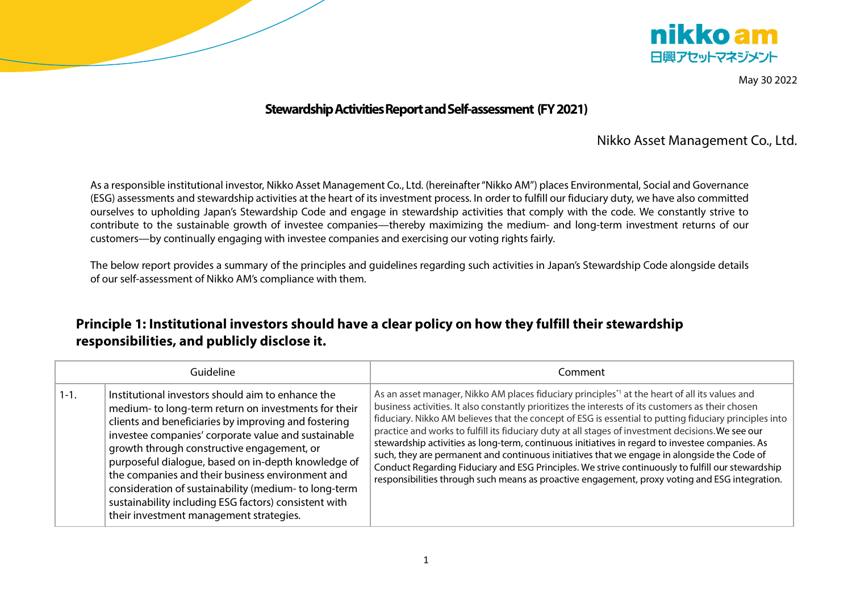



May 30 2022

### **Stewardship Activities Report and Self-assessment (FY 2021)**

### Nikko Asset Management Co., Ltd.

As a responsible institutional investor, Nikko Asset Management Co., Ltd. (hereinafter "Nikko AM") places Environmental, Social and Governance (ESG) assessments and stewardship activities at the heart of itsinvestment process. In order to fulfill our fiduciary duty, we have also committed ourselves to upholding Japan's Stewardship Code and engage in stewardship activities that comply with the code. We constantly strive to contribute to the sustainable growth of investee companies—thereby maximizing the medium- and long-term investment returns of our customers—by continually engaging with investee companies and exercising our voting rights fairly.

The below report provides a summary of the principles and guidelines regarding such activities in Japan's Stewardship Code alongside details of our self-assessment of Nikko AM's compliance with them.

# **Principle 1: Institutional investors should have a clear policy on how they fulfill their stewardship responsibilities, and publicly disclose it.**

| Guideline |                                                                                                                                                                                                                                                                                                                                                                                                                                                                                                                                              | Comment                                                                                                                                                                                                                                                                                                                                                                                                                                                                                                                                                                                                                                                                                                                                                                                                                                   |
|-----------|----------------------------------------------------------------------------------------------------------------------------------------------------------------------------------------------------------------------------------------------------------------------------------------------------------------------------------------------------------------------------------------------------------------------------------------------------------------------------------------------------------------------------------------------|-------------------------------------------------------------------------------------------------------------------------------------------------------------------------------------------------------------------------------------------------------------------------------------------------------------------------------------------------------------------------------------------------------------------------------------------------------------------------------------------------------------------------------------------------------------------------------------------------------------------------------------------------------------------------------------------------------------------------------------------------------------------------------------------------------------------------------------------|
| $1 - 1.$  | Institutional investors should aim to enhance the<br>medium-to long-term return on investments for their<br>clients and beneficiaries by improving and fostering<br>investee companies' corporate value and sustainable<br>growth through constructive engagement, or<br>purposeful dialogue, based on in-depth knowledge of<br>the companies and their business environment and<br>consideration of sustainability (medium-to long-term<br>sustainability including ESG factors) consistent with<br>their investment management strategies. | As an asset manager, Nikko AM places fiduciary principles <sup>*1</sup> at the heart of all its values and<br>business activities. It also constantly prioritizes the interests of its customers as their chosen<br>fiduciary. Nikko AM believes that the concept of ESG is essential to putting fiduciary principles into<br>practice and works to fulfill its fiduciary duty at all stages of investment decisions. We see our<br>stewardship activities as long-term, continuous initiatives in regard to investee companies. As<br>such, they are permanent and continuous initiatives that we engage in alongside the Code of<br>Conduct Regarding Fiduciary and ESG Principles. We strive continuously to fulfill our stewardship<br>responsibilities through such means as proactive engagement, proxy voting and ESG integration. |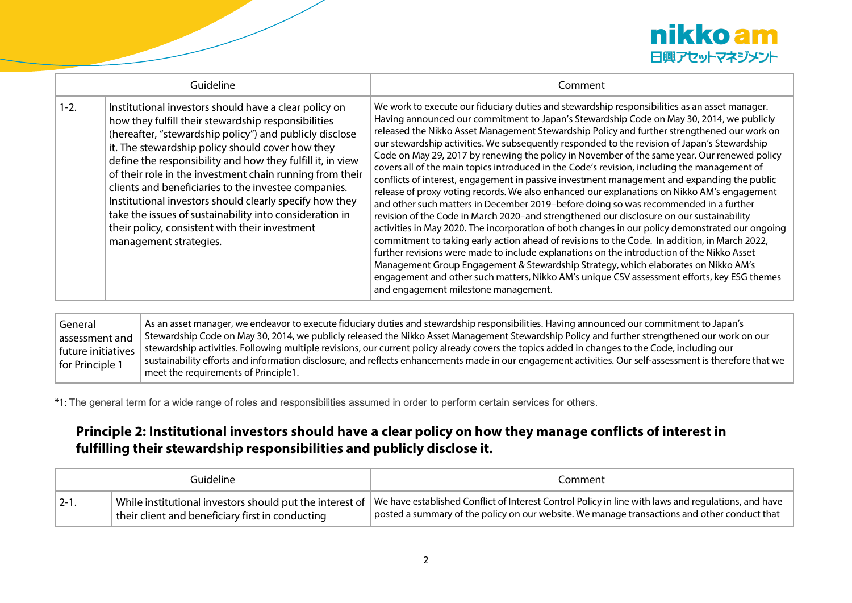

| Guideline |                                                                                                                                                                                                                                                                                                                                                                                                                                                                                                                                                                                                                 | Comment                                                                                                                                                                                                                                                                                                                                                                                                                                                                                                                                                                                                                                                                                                                                                                                                                                                                                                                                                                                                                                                                                                                                                                                                                                                                                                                                                                                                                                                                                                    |
|-----------|-----------------------------------------------------------------------------------------------------------------------------------------------------------------------------------------------------------------------------------------------------------------------------------------------------------------------------------------------------------------------------------------------------------------------------------------------------------------------------------------------------------------------------------------------------------------------------------------------------------------|------------------------------------------------------------------------------------------------------------------------------------------------------------------------------------------------------------------------------------------------------------------------------------------------------------------------------------------------------------------------------------------------------------------------------------------------------------------------------------------------------------------------------------------------------------------------------------------------------------------------------------------------------------------------------------------------------------------------------------------------------------------------------------------------------------------------------------------------------------------------------------------------------------------------------------------------------------------------------------------------------------------------------------------------------------------------------------------------------------------------------------------------------------------------------------------------------------------------------------------------------------------------------------------------------------------------------------------------------------------------------------------------------------------------------------------------------------------------------------------------------------|
| $1 - 2.$  | Institutional investors should have a clear policy on<br>how they fulfill their stewardship responsibilities<br>(hereafter, "stewardship policy") and publicly disclose<br>it. The stewardship policy should cover how they<br>define the responsibility and how they fulfill it, in view<br>of their role in the investment chain running from their<br>clients and beneficiaries to the investee companies.<br>Institutional investors should clearly specify how they<br>take the issues of sustainability into consideration in<br>their policy, consistent with their investment<br>management strategies. | We work to execute our fiduciary duties and stewardship responsibilities as an asset manager.<br>Having announced our commitment to Japan's Stewardship Code on May 30, 2014, we publicly<br>released the Nikko Asset Management Stewardship Policy and further strengthened our work on<br>our stewardship activities. We subsequently responded to the revision of Japan's Stewardship<br>Code on May 29, 2017 by renewing the policy in November of the same year. Our renewed policy<br>covers all of the main topics introduced in the Code's revision, including the management of<br>conflicts of interest, engagement in passive investment management and expanding the public<br>release of proxy voting records. We also enhanced our explanations on Nikko AM's engagement<br>and other such matters in December 2019-before doing so was recommended in a further<br>revision of the Code in March 2020-and strengthened our disclosure on our sustainability<br>activities in May 2020. The incorporation of both changes in our policy demonstrated our ongoing<br>commitment to taking early action ahead of revisions to the Code. In addition, in March 2022,<br>further revisions were made to include explanations on the introduction of the Nikko Asset<br>Management Group Engagement & Stewardship Strategy, which elaborates on Nikko AM's<br>engagement and other such matters, Nikko AM's unique CSV assessment efforts, key ESG themes<br>and engagement milestone management. |

General assessment and future initiatives for Principle 1 As an asset manager, we endeavor to execute fiduciary duties and stewardship responsibilities. Having announced our commitment to Japan's Stewardship Code on May 30, 2014, we publicly released the Nikko Asset Management Stewardship Policy and further strengthened our work on our stewardship activities. Following multiple revisions, our current policy already covers the topics added in changes to the Code, including our sustainability efforts and information disclosure, and reflects enhancements made in our engagement activities. Our self-assessment is therefore that we meet the requirements of Principle1.

\*1: The general term for a wide range of roles and responsibilities assumed in order to perform certain services for others.

# **Principle 2: Institutional investors should have a clear policy on how they manage conflicts of interest in fulfilling their stewardship responsibilities and publicly disclose it.**

|                   | Guideline                                        | Comment                                                                                                                                                                                                                                                             |
|-------------------|--------------------------------------------------|---------------------------------------------------------------------------------------------------------------------------------------------------------------------------------------------------------------------------------------------------------------------|
| $^{\dagger}$ 2-1. | their client and beneficiary first in conducting | While institutional investors should put the interest of $\mid$ We have established Conflict of Interest Control Policy in line with laws and regulations, and have<br>posted a summary of the policy on our website. We manage transactions and other conduct that |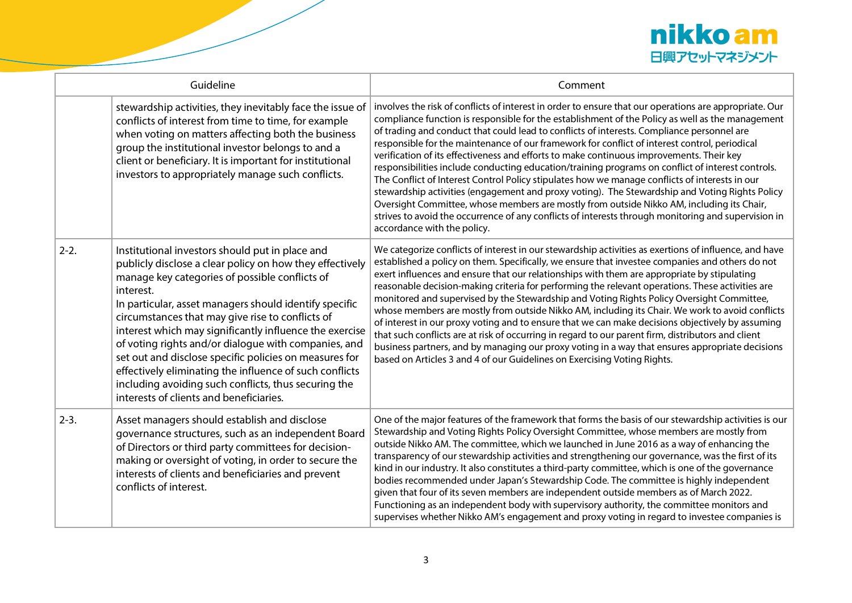

| Guideline |                                                                                                                                                                                                                                                                                                                                                                                                                                                                                                                                                                                                                                     | Comment                                                                                                                                                                                                                                                                                                                                                                                                                                                                                                                                                                                                                                                                                                                                                                                                                                                                                                                                                                                                                                           |
|-----------|-------------------------------------------------------------------------------------------------------------------------------------------------------------------------------------------------------------------------------------------------------------------------------------------------------------------------------------------------------------------------------------------------------------------------------------------------------------------------------------------------------------------------------------------------------------------------------------------------------------------------------------|---------------------------------------------------------------------------------------------------------------------------------------------------------------------------------------------------------------------------------------------------------------------------------------------------------------------------------------------------------------------------------------------------------------------------------------------------------------------------------------------------------------------------------------------------------------------------------------------------------------------------------------------------------------------------------------------------------------------------------------------------------------------------------------------------------------------------------------------------------------------------------------------------------------------------------------------------------------------------------------------------------------------------------------------------|
|           | stewardship activities, they inevitably face the issue of<br>conflicts of interest from time to time, for example<br>when voting on matters affecting both the business<br>group the institutional investor belongs to and a<br>client or beneficiary. It is important for institutional<br>investors to appropriately manage such conflicts.                                                                                                                                                                                                                                                                                       | involves the risk of conflicts of interest in order to ensure that our operations are appropriate. Our<br>compliance function is responsible for the establishment of the Policy as well as the management<br>of trading and conduct that could lead to conflicts of interests. Compliance personnel are<br>responsible for the maintenance of our framework for conflict of interest control, periodical<br>verification of its effectiveness and efforts to make continuous improvements. Their key<br>responsibilities include conducting education/training programs on conflict of interest controls.<br>The Conflict of Interest Control Policy stipulates how we manage conflicts of interests in our<br>stewardship activities (engagement and proxy voting). The Stewardship and Voting Rights Policy<br>Oversight Committee, whose members are mostly from outside Nikko AM, including its Chair,<br>strives to avoid the occurrence of any conflicts of interests through monitoring and supervision in<br>accordance with the policy. |
| $2 - 2.$  | Institutional investors should put in place and<br>publicly disclose a clear policy on how they effectively<br>manage key categories of possible conflicts of<br>interest.<br>In particular, asset managers should identify specific<br>circumstances that may give rise to conflicts of<br>interest which may significantly influence the exercise<br>of voting rights and/or dialogue with companies, and<br>set out and disclose specific policies on measures for<br>effectively eliminating the influence of such conflicts<br>including avoiding such conflicts, thus securing the<br>interests of clients and beneficiaries. | We categorize conflicts of interest in our stewardship activities as exertions of influence, and have<br>established a policy on them. Specifically, we ensure that investee companies and others do not<br>exert influences and ensure that our relationships with them are appropriate by stipulating<br>reasonable decision-making criteria for performing the relevant operations. These activities are<br>monitored and supervised by the Stewardship and Voting Rights Policy Oversight Committee,<br>whose members are mostly from outside Nikko AM, including its Chair. We work to avoid conflicts<br>of interest in our proxy voting and to ensure that we can make decisions objectively by assuming<br>that such conflicts are at risk of occurring in regard to our parent firm, distributors and client<br>business partners, and by managing our proxy voting in a way that ensures appropriate decisions<br>based on Articles 3 and 4 of our Guidelines on Exercising Voting Rights.                                              |
| $2 - 3$ . | Asset managers should establish and disclose<br>governance structures, such as an independent Board<br>of Directors or third party committees for decision-<br>making or oversight of voting, in order to secure the<br>interests of clients and beneficiaries and prevent<br>conflicts of interest.                                                                                                                                                                                                                                                                                                                                | One of the major features of the framework that forms the basis of our stewardship activities is our<br>Stewardship and Voting Rights Policy Oversight Committee, whose members are mostly from<br>outside Nikko AM. The committee, which we launched in June 2016 as a way of enhancing the<br>transparency of our stewardship activities and strengthening our governance, was the first of its<br>kind in our industry. It also constitutes a third-party committee, which is one of the governance<br>bodies recommended under Japan's Stewardship Code. The committee is highly independent<br>given that four of its seven members are independent outside members as of March 2022.<br>Functioning as an independent body with supervisory authority, the committee monitors and<br>supervises whether Nikko AM's engagement and proxy voting in regard to investee companies is                                                                                                                                                           |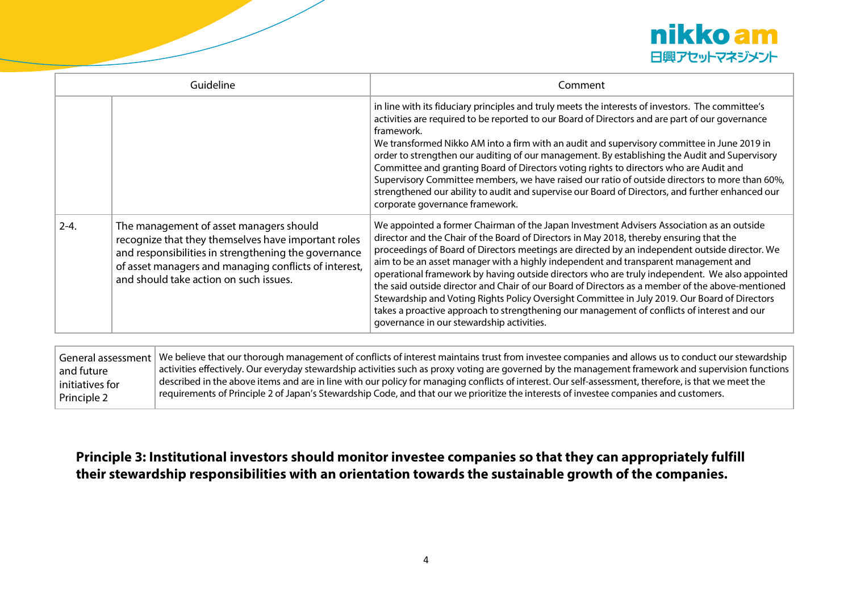

| Guideline |                                                                                                                                                                                                                                                           | Comment                                                                                                                                                                                                                                                                                                                                                                                                                                                                                                                                                                                                                                                                                                                                                                                                                          |
|-----------|-----------------------------------------------------------------------------------------------------------------------------------------------------------------------------------------------------------------------------------------------------------|----------------------------------------------------------------------------------------------------------------------------------------------------------------------------------------------------------------------------------------------------------------------------------------------------------------------------------------------------------------------------------------------------------------------------------------------------------------------------------------------------------------------------------------------------------------------------------------------------------------------------------------------------------------------------------------------------------------------------------------------------------------------------------------------------------------------------------|
|           |                                                                                                                                                                                                                                                           | in line with its fiduciary principles and truly meets the interests of investors. The committee's<br>activities are required to be reported to our Board of Directors and are part of our governance<br>framework.<br>We transformed Nikko AM into a firm with an audit and supervisory committee in June 2019 in<br>order to strengthen our auditing of our management. By establishing the Audit and Supervisory<br>Committee and granting Board of Directors voting rights to directors who are Audit and<br>Supervisory Committee members, we have raised our ratio of outside directors to more than 60%,<br>strengthened our ability to audit and supervise our Board of Directors, and further enhanced our<br>corporate governance framework.                                                                            |
| $2 - 4.$  | The management of asset managers should<br>recognize that they themselves have important roles<br>and responsibilities in strengthening the governance<br>of asset managers and managing conflicts of interest,<br>and should take action on such issues. | We appointed a former Chairman of the Japan Investment Advisers Association as an outside<br>director and the Chair of the Board of Directors in May 2018, thereby ensuring that the<br>proceedings of Board of Directors meetings are directed by an independent outside director. We<br>aim to be an asset manager with a highly independent and transparent management and<br>operational framework by having outside directors who are truly independent. We also appointed<br>the said outside director and Chair of our Board of Directors as a member of the above-mentioned<br>Stewardship and Voting Rights Policy Oversight Committee in July 2019. Our Board of Directors<br>takes a proactive approach to strengthening our management of conflicts of interest and our<br>governance in our stewardship activities. |

|                 | General assessment We believe that our thorough management of conflicts of interest maintains trust from investee companies and allows us to conduct our stewardship |
|-----------------|----------------------------------------------------------------------------------------------------------------------------------------------------------------------|
| and future      | activities effectively. Our everyday stewardship activities such as proxy voting are governed by the management framework and supervision functions                  |
| initiatives for | $ $ described in the above items and are in line with our policy for managing conflicts of interest. Our self-assessment, therefore, is that we meet the             |
| Principle 2     | requirements of Principle 2 of Japan's Stewardship Code, and that our we prioritize the interests of investee companies and customers.                               |

# **Principle 3: Institutional investors should monitor investee companies so that they can appropriately fulfill their stewardship responsibilities with an orientation towards the sustainable growth of the companies.**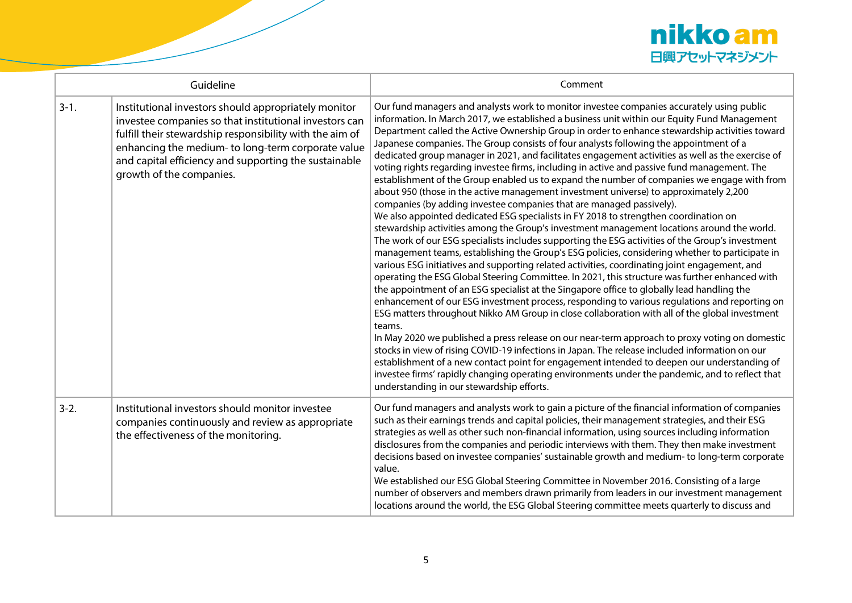

| Guideline |                                                                                                                                                                                                                                                                                                                       | Comment                                                                                                                                                                                                                                                                                                                                                                                                                                                                                                                                                                                                                                                                                                                                                                                                                                                                                                                                                                                                                                                                                                                                                                                                                                                                                                                                                                                                                                                                                                                                                                                                                                                                                                                                                                                                                                                                                                                                                                                                                                                                                                                                                                                                                 |
|-----------|-----------------------------------------------------------------------------------------------------------------------------------------------------------------------------------------------------------------------------------------------------------------------------------------------------------------------|-------------------------------------------------------------------------------------------------------------------------------------------------------------------------------------------------------------------------------------------------------------------------------------------------------------------------------------------------------------------------------------------------------------------------------------------------------------------------------------------------------------------------------------------------------------------------------------------------------------------------------------------------------------------------------------------------------------------------------------------------------------------------------------------------------------------------------------------------------------------------------------------------------------------------------------------------------------------------------------------------------------------------------------------------------------------------------------------------------------------------------------------------------------------------------------------------------------------------------------------------------------------------------------------------------------------------------------------------------------------------------------------------------------------------------------------------------------------------------------------------------------------------------------------------------------------------------------------------------------------------------------------------------------------------------------------------------------------------------------------------------------------------------------------------------------------------------------------------------------------------------------------------------------------------------------------------------------------------------------------------------------------------------------------------------------------------------------------------------------------------------------------------------------------------------------------------------------------------|
| $3-1.$    | Institutional investors should appropriately monitor<br>investee companies so that institutional investors can<br>fulfill their stewardship responsibility with the aim of<br>enhancing the medium- to long-term corporate value<br>and capital efficiency and supporting the sustainable<br>growth of the companies. | Our fund managers and analysts work to monitor investee companies accurately using public<br>information. In March 2017, we established a business unit within our Equity Fund Management<br>Department called the Active Ownership Group in order to enhance stewardship activities toward<br>Japanese companies. The Group consists of four analysts following the appointment of a<br>dedicated group manager in 2021, and facilitates engagement activities as well as the exercise of<br>voting rights regarding investee firms, including in active and passive fund management. The<br>establishment of the Group enabled us to expand the number of companies we engage with from<br>about 950 (those in the active management investment universe) to approximately 2,200<br>companies (by adding investee companies that are managed passively).<br>We also appointed dedicated ESG specialists in FY 2018 to strengthen coordination on<br>stewardship activities among the Group's investment management locations around the world.<br>The work of our ESG specialists includes supporting the ESG activities of the Group's investment<br>management teams, establishing the Group's ESG policies, considering whether to participate in<br>various ESG initiatives and supporting related activities, coordinating joint engagement, and<br>operating the ESG Global Steering Committee. In 2021, this structure was further enhanced with<br>the appointment of an ESG specialist at the Singapore office to globally lead handling the<br>enhancement of our ESG investment process, responding to various regulations and reporting on<br>ESG matters throughout Nikko AM Group in close collaboration with all of the global investment<br>teams.<br>In May 2020 we published a press release on our near-term approach to proxy voting on domestic<br>stocks in view of rising COVID-19 infections in Japan. The release included information on our<br>establishment of a new contact point for engagement intended to deepen our understanding of<br>investee firms' rapidly changing operating environments under the pandemic, and to reflect that<br>understanding in our stewardship efforts. |
| $3-2.$    | Institutional investors should monitor investee<br>companies continuously and review as appropriate<br>the effectiveness of the monitoring.                                                                                                                                                                           | Our fund managers and analysts work to gain a picture of the financial information of companies<br>such as their earnings trends and capital policies, their management strategies, and their ESG<br>strategies as well as other such non-financial information, using sources including information<br>disclosures from the companies and periodic interviews with them. They then make investment<br>decisions based on investee companies' sustainable growth and medium- to long-term corporate<br>value.<br>We established our ESG Global Steering Committee in November 2016. Consisting of a large<br>number of observers and members drawn primarily from leaders in our investment management<br>locations around the world, the ESG Global Steering committee meets quarterly to discuss and                                                                                                                                                                                                                                                                                                                                                                                                                                                                                                                                                                                                                                                                                                                                                                                                                                                                                                                                                                                                                                                                                                                                                                                                                                                                                                                                                                                                                  |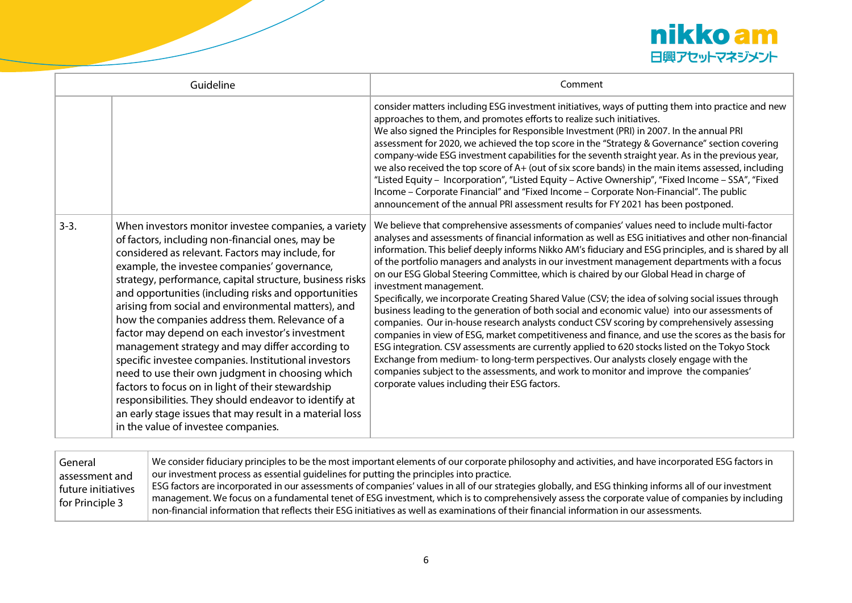

| Guideline |                                                                                                                                                                                                                                                                                                                                                                                                                                                                                                                                                                                                                                                                                                                                                                                                                                                                              | Comment                                                                                                                                                                                                                                                                                                                                                                                                                                                                                                                                                                                                                                                                                                                                                                                                                                                                                                                                                                                                                                                                                                                                                                                                                                                                        |
|-----------|------------------------------------------------------------------------------------------------------------------------------------------------------------------------------------------------------------------------------------------------------------------------------------------------------------------------------------------------------------------------------------------------------------------------------------------------------------------------------------------------------------------------------------------------------------------------------------------------------------------------------------------------------------------------------------------------------------------------------------------------------------------------------------------------------------------------------------------------------------------------------|--------------------------------------------------------------------------------------------------------------------------------------------------------------------------------------------------------------------------------------------------------------------------------------------------------------------------------------------------------------------------------------------------------------------------------------------------------------------------------------------------------------------------------------------------------------------------------------------------------------------------------------------------------------------------------------------------------------------------------------------------------------------------------------------------------------------------------------------------------------------------------------------------------------------------------------------------------------------------------------------------------------------------------------------------------------------------------------------------------------------------------------------------------------------------------------------------------------------------------------------------------------------------------|
|           |                                                                                                                                                                                                                                                                                                                                                                                                                                                                                                                                                                                                                                                                                                                                                                                                                                                                              | consider matters including ESG investment initiatives, ways of putting them into practice and new<br>approaches to them, and promotes efforts to realize such initiatives.<br>We also signed the Principles for Responsible Investment (PRI) in 2007. In the annual PRI<br>assessment for 2020, we achieved the top score in the "Strategy & Governance" section covering<br>company-wide ESG investment capabilities for the seventh straight year. As in the previous year,<br>we also received the top score of A+ (out of six score bands) in the main items assessed, including<br>"Listed Equity - Incorporation", "Listed Equity - Active Ownership", "Fixed Income - SSA", "Fixed<br>Income - Corporate Financial" and "Fixed Income - Corporate Non-Financial". The public<br>announcement of the annual PRI assessment results for FY 2021 has been postponed.                                                                                                                                                                                                                                                                                                                                                                                                       |
| $3-3.$    | When investors monitor investee companies, a variety<br>of factors, including non-financial ones, may be<br>considered as relevant. Factors may include, for<br>example, the investee companies' governance,<br>strategy, performance, capital structure, business risks<br>and opportunities (including risks and opportunities<br>arising from social and environmental matters), and<br>how the companies address them. Relevance of a<br>factor may depend on each investor's investment<br>management strategy and may differ according to<br>specific investee companies. Institutional investors<br>need to use their own judgment in choosing which<br>factors to focus on in light of their stewardship<br>responsibilities. They should endeavor to identify at<br>an early stage issues that may result in a material loss<br>in the value of investee companies. | We believe that comprehensive assessments of companies' values need to include multi-factor<br>analyses and assessments of financial information as well as ESG initiatives and other non-financial<br>information. This belief deeply informs Nikko AM's fiduciary and ESG principles, and is shared by all<br>of the portfolio managers and analysts in our investment management departments with a focus<br>on our ESG Global Steering Committee, which is chaired by our Global Head in charge of<br>investment management.<br>Specifically, we incorporate Creating Shared Value (CSV; the idea of solving social issues through<br>business leading to the generation of both social and economic value) into our assessments of<br>companies. Our in-house research analysts conduct CSV scoring by comprehensively assessing<br>companies in view of ESG, market competitiveness and finance, and use the scores as the basis for<br>ESG integration. CSV assessments are currently applied to 620 stocks listed on the Tokyo Stock<br>Exchange from medium- to long-term perspectives. Our analysts closely engage with the<br>companies subject to the assessments, and work to monitor and improve the companies'<br>corporate values including their ESG factors. |

| $\mid$ We consider fiduciary principles to be the most important elements of our corporate philosophy and activities, and have incorporated ESG factors in<br>General |                                                                                                                                                        |
|-----------------------------------------------------------------------------------------------------------------------------------------------------------------------|--------------------------------------------------------------------------------------------------------------------------------------------------------|
| assessment and                                                                                                                                                        | our investment process as essential guidelines for putting the principles into practice.                                                               |
| future initiatives                                                                                                                                                    | ESG factors are incorporated in our assessments of companies' values in all of our strategies globally, and ESG thinking informs all of our investment |
| for Principle 3                                                                                                                                                       | $\mid$ management. We focus on a fundamental tenet of ESG investment, which is to comprehensively assess the corporate value of companies by including |
|                                                                                                                                                                       | non-financial information that reflects their ESG initiatives as well as examinations of their financial information in our assessments.               |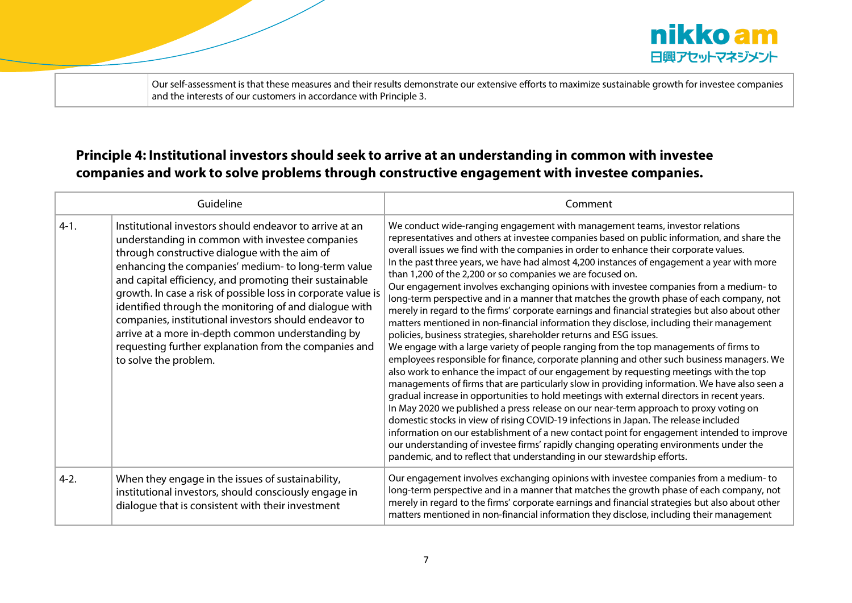

Our self-assessment is that these measures and their results demonstrate our extensive efforts to maximize sustainable growth for investee companies and the interests of our customers in accordance with Principle 3.

# **Principle 4: Institutional investors should seek to arrive at an understanding in common with investee companies and work to solve problems through constructive engagement with investee companies.**

| Guideline |                                                                                                                                                                                                                                                                                                                                                                                                                                                                                                                                                                                                          | Comment                                                                                                                                                                                                                                                                                                                                                                                                                                                                                                                                                                                                                                                                                                                                                                                                                                                                                                                                                                                                                                                                                                                                                                                                                                                                                                                                                                                                                                                                                                                                                                                                                                                                                                                                                                                                                       |
|-----------|----------------------------------------------------------------------------------------------------------------------------------------------------------------------------------------------------------------------------------------------------------------------------------------------------------------------------------------------------------------------------------------------------------------------------------------------------------------------------------------------------------------------------------------------------------------------------------------------------------|-------------------------------------------------------------------------------------------------------------------------------------------------------------------------------------------------------------------------------------------------------------------------------------------------------------------------------------------------------------------------------------------------------------------------------------------------------------------------------------------------------------------------------------------------------------------------------------------------------------------------------------------------------------------------------------------------------------------------------------------------------------------------------------------------------------------------------------------------------------------------------------------------------------------------------------------------------------------------------------------------------------------------------------------------------------------------------------------------------------------------------------------------------------------------------------------------------------------------------------------------------------------------------------------------------------------------------------------------------------------------------------------------------------------------------------------------------------------------------------------------------------------------------------------------------------------------------------------------------------------------------------------------------------------------------------------------------------------------------------------------------------------------------------------------------------------------------|
| $4-1.$    | Institutional investors should endeavor to arrive at an<br>understanding in common with investee companies<br>through constructive dialogue with the aim of<br>enhancing the companies' medium- to long-term value<br>and capital efficiency, and promoting their sustainable<br>growth. In case a risk of possible loss in corporate value is<br>identified through the monitoring of and dialogue with<br>companies, institutional investors should endeavor to<br>arrive at a more in-depth common understanding by<br>requesting further explanation from the companies and<br>to solve the problem. | We conduct wide-ranging engagement with management teams, investor relations<br>representatives and others at investee companies based on public information, and share the<br>overall issues we find with the companies in order to enhance their corporate values.<br>In the past three years, we have had almost 4,200 instances of engagement a year with more<br>than 1,200 of the 2,200 or so companies we are focused on.<br>Our engagement involves exchanging opinions with investee companies from a medium-to<br>long-term perspective and in a manner that matches the growth phase of each company, not<br>merely in regard to the firms' corporate earnings and financial strategies but also about other<br>matters mentioned in non-financial information they disclose, including their management<br>policies, business strategies, shareholder returns and ESG issues.<br>We engage with a large variety of people ranging from the top managements of firms to<br>employees responsible for finance, corporate planning and other such business managers. We<br>also work to enhance the impact of our engagement by requesting meetings with the top<br>managements of firms that are particularly slow in providing information. We have also seen a<br>gradual increase in opportunities to hold meetings with external directors in recent years.<br>In May 2020 we published a press release on our near-term approach to proxy voting on<br>domestic stocks in view of rising COVID-19 infections in Japan. The release included<br>information on our establishment of a new contact point for engagement intended to improve<br>our understanding of investee firms' rapidly changing operating environments under the<br>pandemic, and to reflect that understanding in our stewardship efforts. |
| $4-2.$    | When they engage in the issues of sustainability,<br>institutional investors, should consciously engage in<br>dialogue that is consistent with their investment                                                                                                                                                                                                                                                                                                                                                                                                                                          | Our engagement involves exchanging opinions with investee companies from a medium-to<br>long-term perspective and in a manner that matches the growth phase of each company, not<br>merely in regard to the firms' corporate earnings and financial strategies but also about other<br>matters mentioned in non-financial information they disclose, including their management                                                                                                                                                                                                                                                                                                                                                                                                                                                                                                                                                                                                                                                                                                                                                                                                                                                                                                                                                                                                                                                                                                                                                                                                                                                                                                                                                                                                                                               |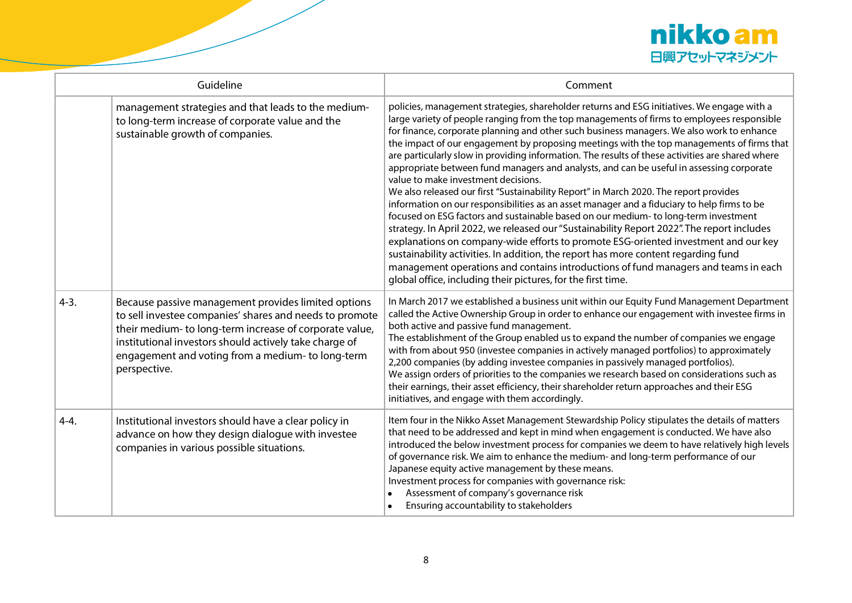

| Guideline |                                                                                                                                                                                                                                                                                                          | Comment                                                                                                                                                                                                                                                                                                                                                                                                                                                                                                                                                                                                                                                                                                                                                                                                                                                                                                                                                                                                                                                                                                                                                                                                                                                                                                                                    |
|-----------|----------------------------------------------------------------------------------------------------------------------------------------------------------------------------------------------------------------------------------------------------------------------------------------------------------|--------------------------------------------------------------------------------------------------------------------------------------------------------------------------------------------------------------------------------------------------------------------------------------------------------------------------------------------------------------------------------------------------------------------------------------------------------------------------------------------------------------------------------------------------------------------------------------------------------------------------------------------------------------------------------------------------------------------------------------------------------------------------------------------------------------------------------------------------------------------------------------------------------------------------------------------------------------------------------------------------------------------------------------------------------------------------------------------------------------------------------------------------------------------------------------------------------------------------------------------------------------------------------------------------------------------------------------------|
|           | management strategies and that leads to the medium-<br>to long-term increase of corporate value and the<br>sustainable growth of companies.                                                                                                                                                              | policies, management strategies, shareholder returns and ESG initiatives. We engage with a<br>large variety of people ranging from the top managements of firms to employees responsible<br>for finance, corporate planning and other such business managers. We also work to enhance<br>the impact of our engagement by proposing meetings with the top managements of firms that<br>are particularly slow in providing information. The results of these activities are shared where<br>appropriate between fund managers and analysts, and can be useful in assessing corporate<br>value to make investment decisions.<br>We also released our first "Sustainability Report" in March 2020. The report provides<br>information on our responsibilities as an asset manager and a fiduciary to help firms to be<br>focused on ESG factors and sustainable based on our medium- to long-term investment<br>strategy. In April 2022, we released our "Sustainability Report 2022". The report includes<br>explanations on company-wide efforts to promote ESG-oriented investment and our key<br>sustainability activities. In addition, the report has more content regarding fund<br>management operations and contains introductions of fund managers and teams in each<br>global office, including their pictures, for the first time. |
| $4-3.$    | Because passive management provides limited options<br>to sell investee companies' shares and needs to promote<br>their medium- to long-term increase of corporate value,<br>institutional investors should actively take charge of<br>engagement and voting from a medium- to long-term<br>perspective. | In March 2017 we established a business unit within our Equity Fund Management Department<br>called the Active Ownership Group in order to enhance our engagement with investee firms in<br>both active and passive fund management.<br>The establishment of the Group enabled us to expand the number of companies we engage<br>with from about 950 (investee companies in actively managed portfolios) to approximately<br>2,200 companies (by adding investee companies in passively managed portfolios).<br>We assign orders of priorities to the companies we research based on considerations such as<br>their earnings, their asset efficiency, their shareholder return approaches and their ESG<br>initiatives, and engage with them accordingly.                                                                                                                                                                                                                                                                                                                                                                                                                                                                                                                                                                                 |
| $4 - 4.$  | Institutional investors should have a clear policy in<br>advance on how they design dialogue with investee<br>companies in various possible situations.                                                                                                                                                  | Item four in the Nikko Asset Management Stewardship Policy stipulates the details of matters<br>that need to be addressed and kept in mind when engagement is conducted. We have also<br>introduced the below investment process for companies we deem to have relatively high levels<br>of governance risk. We aim to enhance the medium- and long-term performance of our<br>Japanese equity active management by these means.<br>Investment process for companies with governance risk:<br>Assessment of company's governance risk<br>Ensuring accountability to stakeholders                                                                                                                                                                                                                                                                                                                                                                                                                                                                                                                                                                                                                                                                                                                                                           |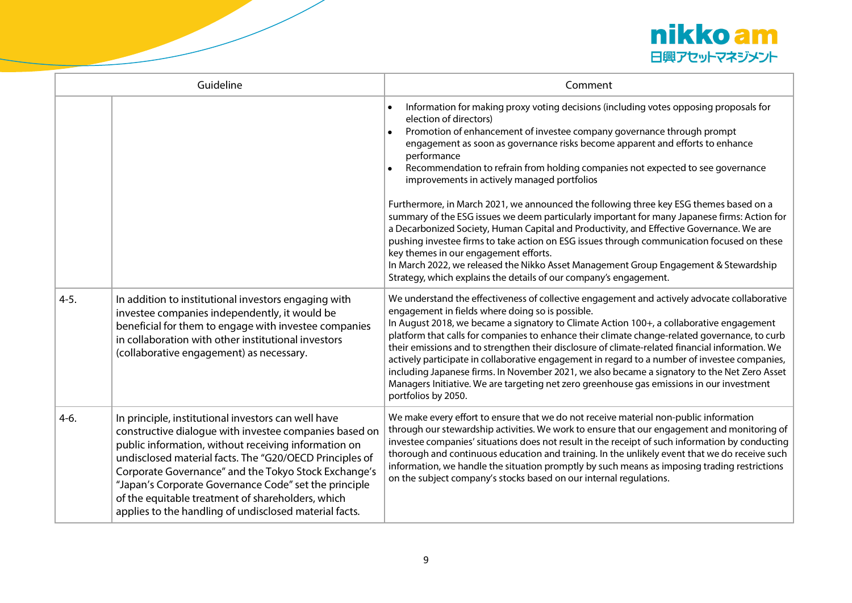

| Guideline |                                                                                                                                                                                                                                                                                                                                                                                                                                                                  | Comment                                                                                                                                                                                                                                                                                                                                                                                                                                                                                                                                                                                                                                                                                                                                                                                                                                                                                                                                                                                                               |
|-----------|------------------------------------------------------------------------------------------------------------------------------------------------------------------------------------------------------------------------------------------------------------------------------------------------------------------------------------------------------------------------------------------------------------------------------------------------------------------|-----------------------------------------------------------------------------------------------------------------------------------------------------------------------------------------------------------------------------------------------------------------------------------------------------------------------------------------------------------------------------------------------------------------------------------------------------------------------------------------------------------------------------------------------------------------------------------------------------------------------------------------------------------------------------------------------------------------------------------------------------------------------------------------------------------------------------------------------------------------------------------------------------------------------------------------------------------------------------------------------------------------------|
|           |                                                                                                                                                                                                                                                                                                                                                                                                                                                                  | Information for making proxy voting decisions (including votes opposing proposals for<br>election of directors)<br>Promotion of enhancement of investee company governance through prompt<br>engagement as soon as governance risks become apparent and efforts to enhance<br>performance<br>Recommendation to refrain from holding companies not expected to see governance<br>improvements in actively managed portfolios<br>Furthermore, in March 2021, we announced the following three key ESG themes based on a<br>summary of the ESG issues we deem particularly important for many Japanese firms: Action for<br>a Decarbonized Society, Human Capital and Productivity, and Effective Governance. We are<br>pushing investee firms to take action on ESG issues through communication focused on these<br>key themes in our engagement efforts.<br>In March 2022, we released the Nikko Asset Management Group Engagement & Stewardship<br>Strategy, which explains the details of our company's engagement. |
| $4-5.$    | In addition to institutional investors engaging with<br>investee companies independently, it would be<br>beneficial for them to engage with investee companies<br>in collaboration with other institutional investors<br>(collaborative engagement) as necessary.                                                                                                                                                                                                | We understand the effectiveness of collective engagement and actively advocate collaborative<br>engagement in fields where doing so is possible.<br>In August 2018, we became a signatory to Climate Action 100+, a collaborative engagement<br>platform that calls for companies to enhance their climate change-related governance, to curb<br>their emissions and to strengthen their disclosure of climate-related financial information. We<br>actively participate in collaborative engagement in regard to a number of investee companies,<br>including Japanese firms. In November 2021, we also became a signatory to the Net Zero Asset<br>Managers Initiative. We are targeting net zero greenhouse gas emissions in our investment<br>portfolios by 2050.                                                                                                                                                                                                                                                 |
| $4-6.$    | In principle, institutional investors can well have<br>constructive dialogue with investee companies based on<br>public information, without receiving information on<br>undisclosed material facts. The "G20/OECD Principles of<br>Corporate Governance" and the Tokyo Stock Exchange's<br>"Japan's Corporate Governance Code" set the principle<br>of the equitable treatment of shareholders, which<br>applies to the handling of undisclosed material facts. | We make every effort to ensure that we do not receive material non-public information<br>through our stewardship activities. We work to ensure that our engagement and monitoring of<br>investee companies' situations does not result in the receipt of such information by conducting<br>thorough and continuous education and training. In the unlikely event that we do receive such<br>information, we handle the situation promptly by such means as imposing trading restrictions<br>on the subject company's stocks based on our internal regulations.                                                                                                                                                                                                                                                                                                                                                                                                                                                        |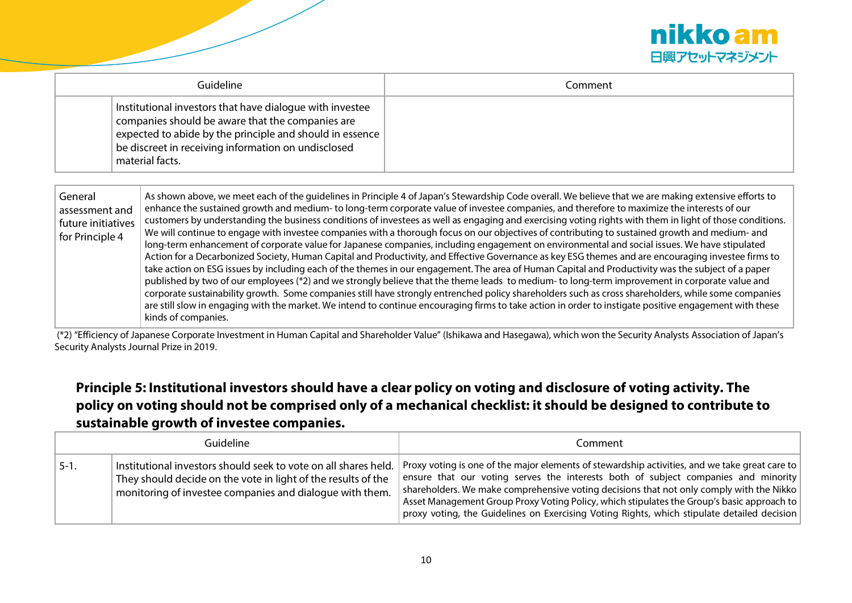

| Guideline                                                                                                                                                                                                                                                           | Comment |
|---------------------------------------------------------------------------------------------------------------------------------------------------------------------------------------------------------------------------------------------------------------------|---------|
| Institutional investors that have dialogue with investee<br>companies should be aware that the companies are<br>$ $ expected to abide by the principle and should in essence<br>$\mathsf{b}$ be discreet in receiving information on undisclosed<br>material facts. |         |

| General<br>assessment and<br>future initiatives<br>for Principle 4 | As shown above, we meet each of the quidelines in Principle 4 of Japan's Stewardship Code overall. We believe that we are making extensive efforts to<br>enhance the sustained growth and medium- to long-term corporate value of investee companies, and therefore to maximize the interests of our<br>customers by understanding the business conditions of investees as well as engaging and exercising voting rights with them in light of those conditions.<br>We will continue to engage with investee companies with a thorough focus on our objectives of contributing to sustained growth and medium- and<br>long-term enhancement of corporate value for Japanese companies, including engagement on environmental and social issues. We have stipulated<br>Action for a Decarbonized Society, Human Capital and Productivity, and Effective Governance as key ESG themes and are encouraging investee firms to<br>take action on ESG issues by including each of the themes in our engagement. The area of Human Capital and Productivity was the subject of a paper<br>published by two of our employees (*2) and we strongly believe that the theme leads to medium- to long-term improvement in corporate value and<br>corporate sustainability growth. Some companies still have strongly entrenched policy shareholders such as cross shareholders, while some companies<br>are still slow in engaging with the market. We intend to continue encouraging firms to take action in order to instigate positive engagement with these<br>kinds of companies. |
|--------------------------------------------------------------------|----------------------------------------------------------------------------------------------------------------------------------------------------------------------------------------------------------------------------------------------------------------------------------------------------------------------------------------------------------------------------------------------------------------------------------------------------------------------------------------------------------------------------------------------------------------------------------------------------------------------------------------------------------------------------------------------------------------------------------------------------------------------------------------------------------------------------------------------------------------------------------------------------------------------------------------------------------------------------------------------------------------------------------------------------------------------------------------------------------------------------------------------------------------------------------------------------------------------------------------------------------------------------------------------------------------------------------------------------------------------------------------------------------------------------------------------------------------------------------------------------------------------------------------------------------------------------|
|                                                                    |                                                                                                                                                                                                                                                                                                                                                                                                                                                                                                                                                                                                                                                                                                                                                                                                                                                                                                                                                                                                                                                                                                                                                                                                                                                                                                                                                                                                                                                                                                                                                                            |

(\*2) "Efficiency of Japanese Corporate Investment in Human Capital and Shareholder Value" (Ishikawa and Hasegawa), which won the Security Analysts Association of Japan's Security Analysts Journal Prize in 2019.

# **Principle 5: Institutional investors should have a clear policy on voting and disclosure of voting activity. The policy on voting should not be comprised only of a mechanical checklist: it should be designed to contribute to sustainable growth of investee companies.**

| Guideline |                                                                                                                                                                                              | Comment                                                                                                                                                                                                                                                                                                                                                                                                                                                                                     |
|-----------|----------------------------------------------------------------------------------------------------------------------------------------------------------------------------------------------|---------------------------------------------------------------------------------------------------------------------------------------------------------------------------------------------------------------------------------------------------------------------------------------------------------------------------------------------------------------------------------------------------------------------------------------------------------------------------------------------|
| $5-1.$    | Institutional investors should seek to vote on all shares held.<br>They should decide on the vote in light of the results of the<br>monitoring of investee companies and dialogue with them. | $\mid$ Proxy voting is one of the major elements of stewardship activities, and we take great care to $\mid$<br>ensure that our voting serves the interests both of subject companies and minority<br>shareholders. We make comprehensive voting decisions that not only comply with the Nikko<br>Asset Management Group Proxy Voting Policy, which stipulates the Group's basic approach to<br>proxy voting, the Guidelines on Exercising Voting Rights, which stipulate detailed decision |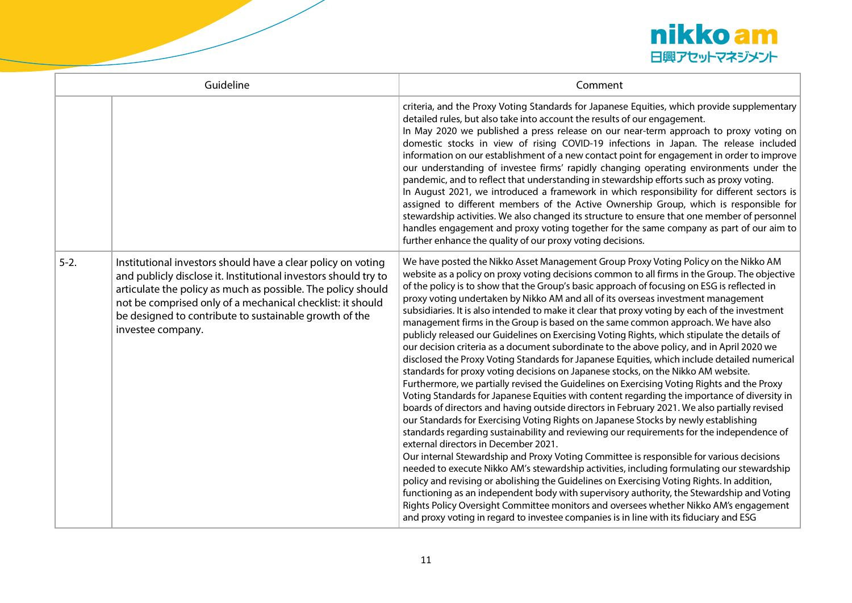

|          | Guideline                                                                                                                                                                                                                                                                                                                                    | Comment                                                                                                                                                                                                                                                                                                                                                                                                                                                                                                                                                                                                                                                                                                                                                                                                                                                                                                                                                                                                                                                                                                                                                                                                                                                                                                                                                                                                                                                                                                                                                                                                                                                                                                                                                                                                                                                                                                                                                                                                                                            |
|----------|----------------------------------------------------------------------------------------------------------------------------------------------------------------------------------------------------------------------------------------------------------------------------------------------------------------------------------------------|----------------------------------------------------------------------------------------------------------------------------------------------------------------------------------------------------------------------------------------------------------------------------------------------------------------------------------------------------------------------------------------------------------------------------------------------------------------------------------------------------------------------------------------------------------------------------------------------------------------------------------------------------------------------------------------------------------------------------------------------------------------------------------------------------------------------------------------------------------------------------------------------------------------------------------------------------------------------------------------------------------------------------------------------------------------------------------------------------------------------------------------------------------------------------------------------------------------------------------------------------------------------------------------------------------------------------------------------------------------------------------------------------------------------------------------------------------------------------------------------------------------------------------------------------------------------------------------------------------------------------------------------------------------------------------------------------------------------------------------------------------------------------------------------------------------------------------------------------------------------------------------------------------------------------------------------------------------------------------------------------------------------------------------------------|
|          |                                                                                                                                                                                                                                                                                                                                              | criteria, and the Proxy Voting Standards for Japanese Equities, which provide supplementary<br>detailed rules, but also take into account the results of our engagement.<br>In May 2020 we published a press release on our near-term approach to proxy voting on<br>domestic stocks in view of rising COVID-19 infections in Japan. The release included<br>information on our establishment of a new contact point for engagement in order to improve<br>our understanding of investee firms' rapidly changing operating environments under the<br>pandemic, and to reflect that understanding in stewardship efforts such as proxy voting.<br>In August 2021, we introduced a framework in which responsibility for different sectors is<br>assigned to different members of the Active Ownership Group, which is responsible for<br>stewardship activities. We also changed its structure to ensure that one member of personnel<br>handles engagement and proxy voting together for the same company as part of our aim to<br>further enhance the quality of our proxy voting decisions.                                                                                                                                                                                                                                                                                                                                                                                                                                                                                                                                                                                                                                                                                                                                                                                                                                                                                                                                                      |
| $5 - 2.$ | Institutional investors should have a clear policy on voting<br>and publicly disclose it. Institutional investors should try to<br>articulate the policy as much as possible. The policy should<br>not be comprised only of a mechanical checklist: it should<br>be designed to contribute to sustainable growth of the<br>investee company. | We have posted the Nikko Asset Management Group Proxy Voting Policy on the Nikko AM<br>website as a policy on proxy voting decisions common to all firms in the Group. The objective<br>of the policy is to show that the Group's basic approach of focusing on ESG is reflected in<br>proxy voting undertaken by Nikko AM and all of its overseas investment management<br>subsidiaries. It is also intended to make it clear that proxy voting by each of the investment<br>management firms in the Group is based on the same common approach. We have also<br>publicly released our Guidelines on Exercising Voting Rights, which stipulate the details of<br>our decision criteria as a document subordinate to the above policy, and in April 2020 we<br>disclosed the Proxy Voting Standards for Japanese Equities, which include detailed numerical<br>standards for proxy voting decisions on Japanese stocks, on the Nikko AM website.<br>Furthermore, we partially revised the Guidelines on Exercising Voting Rights and the Proxy<br>Voting Standards for Japanese Equities with content regarding the importance of diversity in<br>boards of directors and having outside directors in February 2021. We also partially revised<br>our Standards for Exercising Voting Rights on Japanese Stocks by newly establishing<br>standards regarding sustainability and reviewing our requirements for the independence of<br>external directors in December 2021.<br>Our internal Stewardship and Proxy Voting Committee is responsible for various decisions<br>needed to execute Nikko AM's stewardship activities, including formulating our stewardship<br>policy and revising or abolishing the Guidelines on Exercising Voting Rights. In addition,<br>functioning as an independent body with supervisory authority, the Stewardship and Voting<br>Rights Policy Oversight Committee monitors and oversees whether Nikko AM's engagement<br>and proxy voting in regard to investee companies is in line with its fiduciary and ESG |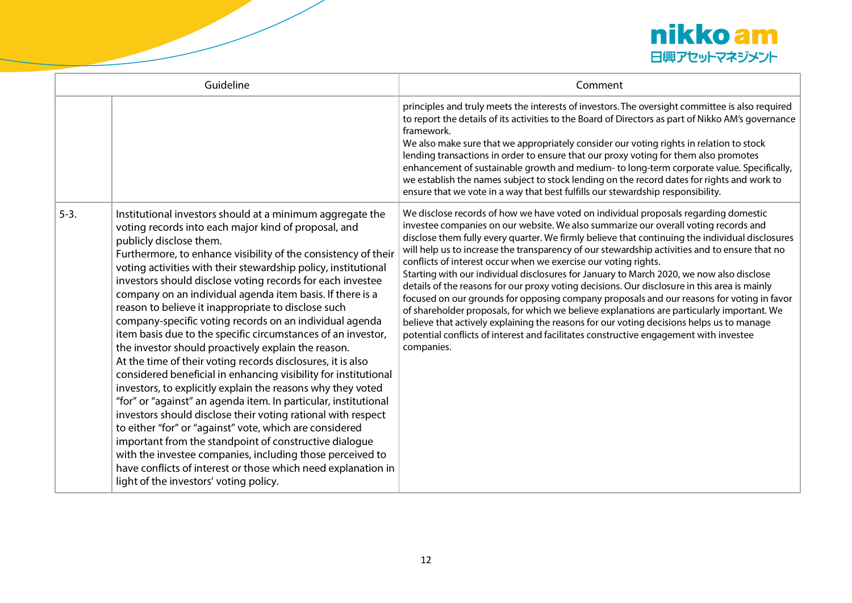

| Guideline |                                                                                                                                                                                                                                                                                                                                                                                                                                                                                                                                                                                                                                                                                                                                                                                                                                                                                                                                                                                                                                                                                                                                                                                                                                                                                       | Comment                                                                                                                                                                                                                                                                                                                                                                                                                                                                                                                                                                                                                                                                                                                                                                                                                                                                                                                                                                                                                                     |
|-----------|---------------------------------------------------------------------------------------------------------------------------------------------------------------------------------------------------------------------------------------------------------------------------------------------------------------------------------------------------------------------------------------------------------------------------------------------------------------------------------------------------------------------------------------------------------------------------------------------------------------------------------------------------------------------------------------------------------------------------------------------------------------------------------------------------------------------------------------------------------------------------------------------------------------------------------------------------------------------------------------------------------------------------------------------------------------------------------------------------------------------------------------------------------------------------------------------------------------------------------------------------------------------------------------|---------------------------------------------------------------------------------------------------------------------------------------------------------------------------------------------------------------------------------------------------------------------------------------------------------------------------------------------------------------------------------------------------------------------------------------------------------------------------------------------------------------------------------------------------------------------------------------------------------------------------------------------------------------------------------------------------------------------------------------------------------------------------------------------------------------------------------------------------------------------------------------------------------------------------------------------------------------------------------------------------------------------------------------------|
|           |                                                                                                                                                                                                                                                                                                                                                                                                                                                                                                                                                                                                                                                                                                                                                                                                                                                                                                                                                                                                                                                                                                                                                                                                                                                                                       | principles and truly meets the interests of investors. The oversight committee is also required<br>to report the details of its activities to the Board of Directors as part of Nikko AM's governance<br>framework.<br>We also make sure that we appropriately consider our voting rights in relation to stock<br>lending transactions in order to ensure that our proxy voting for them also promotes<br>enhancement of sustainable growth and medium- to long-term corporate value. Specifically,<br>we establish the names subject to stock lending on the record dates for rights and work to<br>ensure that we vote in a way that best fulfills our stewardship responsibility.                                                                                                                                                                                                                                                                                                                                                        |
| $5-3.$    | Institutional investors should at a minimum aggregate the<br>voting records into each major kind of proposal, and<br>publicly disclose them.<br>Furthermore, to enhance visibility of the consistency of their<br>voting activities with their stewardship policy, institutional<br>investors should disclose voting records for each investee<br>company on an individual agenda item basis. If there is a<br>reason to believe it inappropriate to disclose such<br>company-specific voting records on an individual agenda<br>item basis due to the specific circumstances of an investor,<br>the investor should proactively explain the reason.<br>At the time of their voting records disclosures, it is also<br>considered beneficial in enhancing visibility for institutional<br>investors, to explicitly explain the reasons why they voted<br>"for" or "against" an agenda item. In particular, institutional<br>investors should disclose their voting rational with respect<br>to either "for" or "against" vote, which are considered<br>important from the standpoint of constructive dialogue<br>with the investee companies, including those perceived to<br>have conflicts of interest or those which need explanation in<br>light of the investors' voting policy. | We disclose records of how we have voted on individual proposals regarding domestic<br>investee companies on our website. We also summarize our overall voting records and<br>disclose them fully every quarter. We firmly believe that continuing the individual disclosures<br>will help us to increase the transparency of our stewardship activities and to ensure that no<br>conflicts of interest occur when we exercise our voting rights.<br>Starting with our individual disclosures for January to March 2020, we now also disclose<br>details of the reasons for our proxy voting decisions. Our disclosure in this area is mainly<br>focused on our grounds for opposing company proposals and our reasons for voting in favor<br>of shareholder proposals, for which we believe explanations are particularly important. We<br>believe that actively explaining the reasons for our voting decisions helps us to manage<br>potential conflicts of interest and facilitates constructive engagement with investee<br>companies. |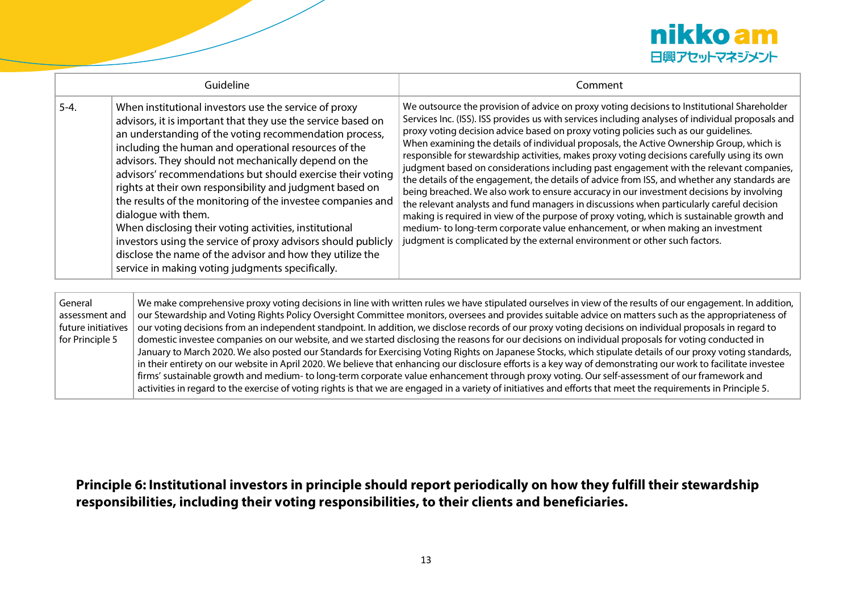

| Guideline                 |                                                                                                                                                                                                                                                                                                                                                                                                                                                                                                                                                                                                                                                                                                                                                             | Comment                                                                                                                                                                                                                                                                                                                                                                                                                                                                                                                                                                                                                                                                                                                                                                                                                                                                                                                                                                                                                                                                                                                               |  |
|---------------------------|-------------------------------------------------------------------------------------------------------------------------------------------------------------------------------------------------------------------------------------------------------------------------------------------------------------------------------------------------------------------------------------------------------------------------------------------------------------------------------------------------------------------------------------------------------------------------------------------------------------------------------------------------------------------------------------------------------------------------------------------------------------|---------------------------------------------------------------------------------------------------------------------------------------------------------------------------------------------------------------------------------------------------------------------------------------------------------------------------------------------------------------------------------------------------------------------------------------------------------------------------------------------------------------------------------------------------------------------------------------------------------------------------------------------------------------------------------------------------------------------------------------------------------------------------------------------------------------------------------------------------------------------------------------------------------------------------------------------------------------------------------------------------------------------------------------------------------------------------------------------------------------------------------------|--|
| $5-4.$                    | When institutional investors use the service of proxy<br>advisors, it is important that they use the service based on<br>an understanding of the voting recommendation process,<br>including the human and operational resources of the<br>advisors. They should not mechanically depend on the<br>advisors' recommendations but should exercise their voting<br>rights at their own responsibility and judgment based on<br>the results of the monitoring of the investee companies and<br>dialogue with them.<br>When disclosing their voting activities, institutional<br>investors using the service of proxy advisors should publicly<br>disclose the name of the advisor and how they utilize the<br>service in making voting judgments specifically. | We outsource the provision of advice on proxy voting decisions to Institutional Shareholder<br>Services Inc. (ISS). ISS provides us with services including analyses of individual proposals and<br>proxy voting decision advice based on proxy voting policies such as our quidelines.<br>When examining the details of individual proposals, the Active Ownership Group, which is<br>responsible for stewardship activities, makes proxy voting decisions carefully using its own<br>judgment based on considerations including past engagement with the relevant companies,<br>the details of the engagement, the details of advice from ISS, and whether any standards are<br>being breached. We also work to ensure accuracy in our investment decisions by involving<br>the relevant analysts and fund managers in discussions when particularly careful decision<br>making is required in view of the purpose of proxy voting, which is sustainable growth and<br>medium- to long-term corporate value enhancement, or when making an investment<br>judgment is complicated by the external environment or other such factors. |  |
| General<br>assessment and |                                                                                                                                                                                                                                                                                                                                                                                                                                                                                                                                                                                                                                                                                                                                                             | We make comprehensive proxy voting decisions in line with written rules we have stipulated ourselves in view of the results of our engagement. In addition,<br>our Stewardship and Voting Rights Policy Oversight Committee monitors, oversees and provides suitable advice on matters such as the appropriateness of                                                                                                                                                                                                                                                                                                                                                                                                                                                                                                                                                                                                                                                                                                                                                                                                                 |  |

assessment and future initiatives for Principle 5 our Stewardship and Voting Rights Policy Oversight Committee monitors, oversees and provides suitable advice on matters such as the appropriateness of  $\vert$  our voting decisions from an independent standpoint. In addition, we disclose records of our proxy voting decisions on individual proposals in regard to domestic investee companies on our website, and we started disclosing the reasons for our decisions on individual proposals for voting conducted in January to March 2020. We also posted our Standards for Exercising Voting Rights on Japanese Stocks, which stipulate details of our proxy voting standards, in their entirety on our website in April 2020. We believe that enhancing our disclosure efforts is a key way of demonstrating our work to facilitate investee firms' sustainable growth and medium- to long-term corporate value enhancement through proxy voting. Our self-assessment of our framework and activities in regard to the exercise of voting rights is that we are engaged in a variety of initiatives and efforts that meet the requirements in Principle 5.

**Principle 6: Institutional investors in principle should report periodically on how they fulfill their stewardship responsibilities, including their voting responsibilities, to their clients and beneficiaries.**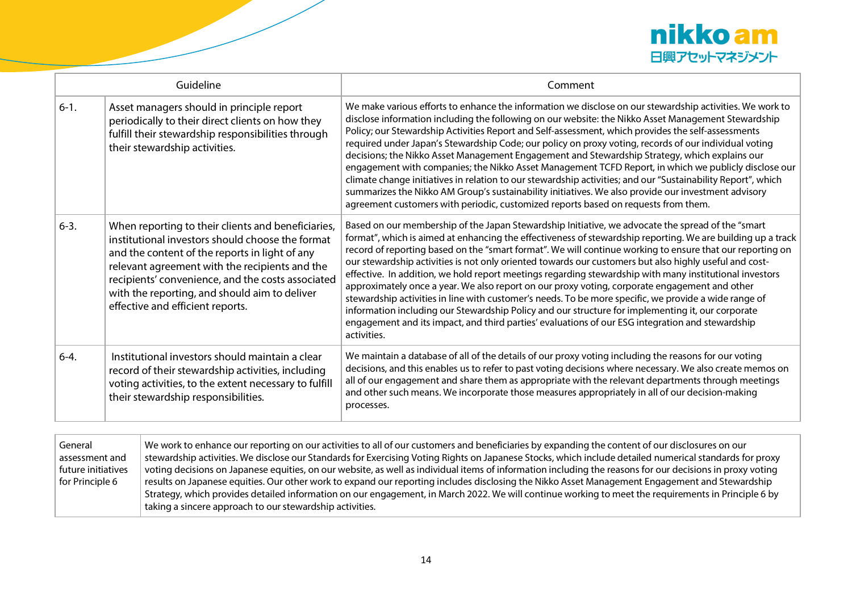

| Guideline |                                                                                                                                                                                                                                                                                                                                                      | Comment                                                                                                                                                                                                                                                                                                                                                                                                                                                                                                                                                                                                                                                                                                                                                                                                                                                                                                                                                                              |
|-----------|------------------------------------------------------------------------------------------------------------------------------------------------------------------------------------------------------------------------------------------------------------------------------------------------------------------------------------------------------|--------------------------------------------------------------------------------------------------------------------------------------------------------------------------------------------------------------------------------------------------------------------------------------------------------------------------------------------------------------------------------------------------------------------------------------------------------------------------------------------------------------------------------------------------------------------------------------------------------------------------------------------------------------------------------------------------------------------------------------------------------------------------------------------------------------------------------------------------------------------------------------------------------------------------------------------------------------------------------------|
| $6-1.$    | Asset managers should in principle report<br>periodically to their direct clients on how they<br>fulfill their stewardship responsibilities through<br>their stewardship activities.                                                                                                                                                                 | We make various efforts to enhance the information we disclose on our stewardship activities. We work to<br>disclose information including the following on our website: the Nikko Asset Management Stewardship<br>Policy; our Stewardship Activities Report and Self-assessment, which provides the self-assessments<br>required under Japan's Stewardship Code; our policy on proxy voting, records of our individual voting<br>decisions; the Nikko Asset Management Engagement and Stewardship Strategy, which explains our<br>engagement with companies; the Nikko Asset Management TCFD Report, in which we publicly disclose our<br>climate change initiatives in relation to our stewardship activities; and our "Sustainability Report", which<br>summarizes the Nikko AM Group's sustainability initiatives. We also provide our investment advisory<br>agreement customers with periodic, customized reports based on requests from them.                                 |
| $6 - 3.$  | When reporting to their clients and beneficiaries,<br>institutional investors should choose the format<br>and the content of the reports in light of any<br>relevant agreement with the recipients and the<br>recipients' convenience, and the costs associated<br>with the reporting, and should aim to deliver<br>effective and efficient reports. | Based on our membership of the Japan Stewardship Initiative, we advocate the spread of the "smart<br>format", which is aimed at enhancing the effectiveness of stewardship reporting. We are building up a track<br>record of reporting based on the "smart format". We will continue working to ensure that our reporting on<br>our stewardship activities is not only oriented towards our customers but also highly useful and cost-<br>effective. In addition, we hold report meetings regarding stewardship with many institutional investors<br>approximately once a year. We also report on our proxy voting, corporate engagement and other<br>stewardship activities in line with customer's needs. To be more specific, we provide a wide range of<br>information including our Stewardship Policy and our structure for implementing it, our corporate<br>engagement and its impact, and third parties' evaluations of our ESG integration and stewardship<br>activities. |
| $6 - 4.$  | Institutional investors should maintain a clear<br>record of their stewardship activities, including<br>voting activities, to the extent necessary to fulfill<br>their stewardship responsibilities.                                                                                                                                                 | We maintain a database of all of the details of our proxy voting including the reasons for our voting<br>decisions, and this enables us to refer to past voting decisions where necessary. We also create memos on<br>all of our engagement and share them as appropriate with the relevant departments through meetings<br>and other such means. We incorporate those measures appropriately in all of our decision-making<br>processes.                                                                                                                                                                                                                                                                                                                                                                                                                                                                                                                                            |

| General            | We work to enhance our reporting on our activities to all of our customers and beneficiaries by expanding the content of our disclosures on our           |
|--------------------|-----------------------------------------------------------------------------------------------------------------------------------------------------------|
| assessment and     | stewardship activities. We disclose our Standards for Exercising Voting Rights on Japanese Stocks, which include detailed numerical standards for proxy   |
| future initiatives | voting decisions on Japanese equities, on our website, as well as individual items of information including the reasons for our decisions in proxy voting |
| for Principle 6    | results on Japanese equities. Our other work to expand our reporting includes disclosing the Nikko Asset Management Engagement and Stewardship            |
|                    | Strategy, which provides detailed information on our engagement, in March 2022. We will continue working to meet the requirements in Principle 6 by       |
|                    | taking a sincere approach to our stewardship activities.                                                                                                  |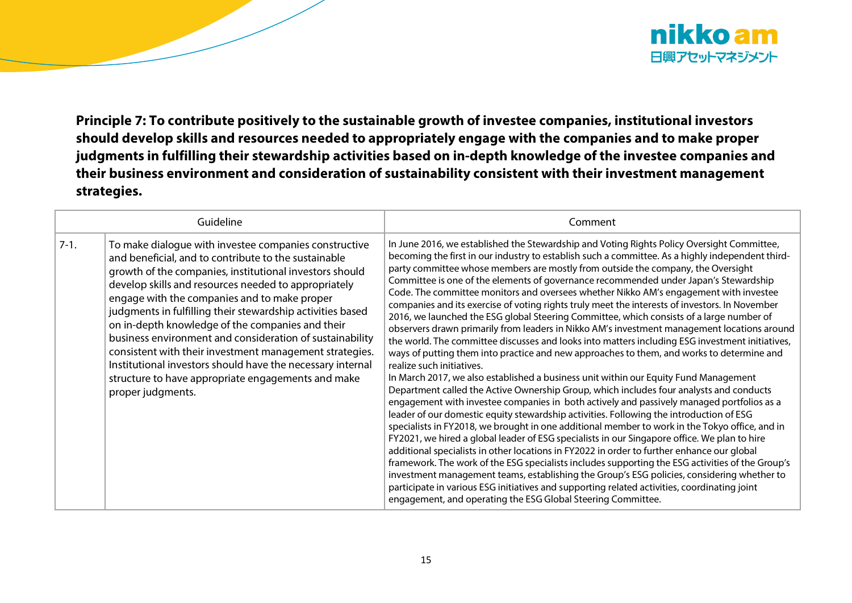

**Principle 7: To contribute positively to the sustainable growth of investee companies, institutional investors should develop skills and resources needed to appropriately engage with the companies and to make proper judgments in fulfilling their stewardship activities based on in-depth knowledge of the investee companies and their business environment and consideration of sustainability consistent with their investment management strategies.** 

| Guideline |                                                                                                                                                                                                                                                                                                                                                                                                                                                                                                                                                                                                                                                                    | Comment                                                                                                                                                                                                                                                                                                                                                                                                                                                                                                                                                                                                                                                                                                                                                                                                                                                                                                                                                                                                                                                                                                                                                                                                                                                                                                                                                                                                                                                                                                                                                                                                                                                                                                                                                                                                                                                                                                                                                                                                                                    |
|-----------|--------------------------------------------------------------------------------------------------------------------------------------------------------------------------------------------------------------------------------------------------------------------------------------------------------------------------------------------------------------------------------------------------------------------------------------------------------------------------------------------------------------------------------------------------------------------------------------------------------------------------------------------------------------------|--------------------------------------------------------------------------------------------------------------------------------------------------------------------------------------------------------------------------------------------------------------------------------------------------------------------------------------------------------------------------------------------------------------------------------------------------------------------------------------------------------------------------------------------------------------------------------------------------------------------------------------------------------------------------------------------------------------------------------------------------------------------------------------------------------------------------------------------------------------------------------------------------------------------------------------------------------------------------------------------------------------------------------------------------------------------------------------------------------------------------------------------------------------------------------------------------------------------------------------------------------------------------------------------------------------------------------------------------------------------------------------------------------------------------------------------------------------------------------------------------------------------------------------------------------------------------------------------------------------------------------------------------------------------------------------------------------------------------------------------------------------------------------------------------------------------------------------------------------------------------------------------------------------------------------------------------------------------------------------------------------------------------------------------|
| $7-1.$    | To make dialogue with investee companies constructive<br>and beneficial, and to contribute to the sustainable<br>growth of the companies, institutional investors should<br>develop skills and resources needed to appropriately<br>engage with the companies and to make proper<br>judgments in fulfilling their stewardship activities based<br>on in-depth knowledge of the companies and their<br>business environment and consideration of sustainability<br>consistent with their investment management strategies.<br>Institutional investors should have the necessary internal<br>structure to have appropriate engagements and make<br>proper judgments. | In June 2016, we established the Stewardship and Voting Rights Policy Oversight Committee,<br>becoming the first in our industry to establish such a committee. As a highly independent third-<br>party committee whose members are mostly from outside the company, the Oversight<br>Committee is one of the elements of governance recommended under Japan's Stewardship<br>Code. The committee monitors and oversees whether Nikko AM's engagement with investee<br>companies and its exercise of voting rights truly meet the interests of investors. In November<br>2016, we launched the ESG global Steering Committee, which consists of a large number of<br>observers drawn primarily from leaders in Nikko AM's investment management locations around<br>the world. The committee discusses and looks into matters including ESG investment initiatives,<br>ways of putting them into practice and new approaches to them, and works to determine and<br>realize such initiatives.<br>In March 2017, we also established a business unit within our Equity Fund Management<br>Department called the Active Ownership Group, which includes four analysts and conducts<br>engagement with investee companies in both actively and passively managed portfolios as a<br>leader of our domestic equity stewardship activities. Following the introduction of ESG<br>specialists in FY2018, we brought in one additional member to work in the Tokyo office, and in<br>FY2021, we hired a global leader of ESG specialists in our Singapore office. We plan to hire<br>additional specialists in other locations in FY2022 in order to further enhance our global<br>framework. The work of the ESG specialists includes supporting the ESG activities of the Group's<br>investment management teams, establishing the Group's ESG policies, considering whether to<br>participate in various ESG initiatives and supporting related activities, coordinating joint<br>engagement, and operating the ESG Global Steering Committee. |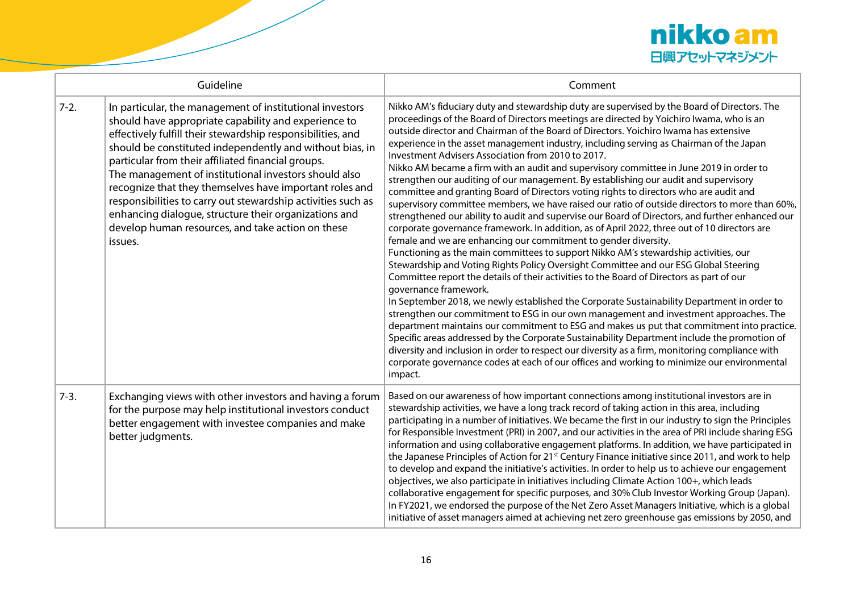

| Guideline |                                                                                                                                                                                                                                                                                                                                                                                                                                                                                                                                                                                                                | Comment                                                                                                                                                                                                                                                                                                                                                                                                                                                                                                                                                                                                                                                                                                                                                                                                                                                                                                                                                                                                                                                                                                                                                                                                                                                                                                                                                                                                                                                                                                                                                                                                                                                                                                                                                                                                                                                                                                                                                                                           |
|-----------|----------------------------------------------------------------------------------------------------------------------------------------------------------------------------------------------------------------------------------------------------------------------------------------------------------------------------------------------------------------------------------------------------------------------------------------------------------------------------------------------------------------------------------------------------------------------------------------------------------------|---------------------------------------------------------------------------------------------------------------------------------------------------------------------------------------------------------------------------------------------------------------------------------------------------------------------------------------------------------------------------------------------------------------------------------------------------------------------------------------------------------------------------------------------------------------------------------------------------------------------------------------------------------------------------------------------------------------------------------------------------------------------------------------------------------------------------------------------------------------------------------------------------------------------------------------------------------------------------------------------------------------------------------------------------------------------------------------------------------------------------------------------------------------------------------------------------------------------------------------------------------------------------------------------------------------------------------------------------------------------------------------------------------------------------------------------------------------------------------------------------------------------------------------------------------------------------------------------------------------------------------------------------------------------------------------------------------------------------------------------------------------------------------------------------------------------------------------------------------------------------------------------------------------------------------------------------------------------------------------------------|
| $7-2.$    | In particular, the management of institutional investors<br>should have appropriate capability and experience to<br>effectively fulfill their stewardship responsibilities, and<br>should be constituted independently and without bias, in<br>particular from their affiliated financial groups.<br>The management of institutional investors should also<br>recognize that they themselves have important roles and<br>responsibilities to carry out stewardship activities such as<br>enhancing dialogue, structure their organizations and<br>develop human resources, and take action on these<br>issues. | Nikko AM's fiduciary duty and stewardship duty are supervised by the Board of Directors. The<br>proceedings of the Board of Directors meetings are directed by Yoichiro Iwama, who is an<br>outside director and Chairman of the Board of Directors. Yoichiro Iwama has extensive<br>experience in the asset management industry, including serving as Chairman of the Japan<br>Investment Advisers Association from 2010 to 2017.<br>Nikko AM became a firm with an audit and supervisory committee in June 2019 in order to<br>strengthen our auditing of our management. By establishing our audit and supervisory<br>committee and granting Board of Directors voting rights to directors who are audit and<br>supervisory committee members, we have raised our ratio of outside directors to more than 60%,<br>strengthened our ability to audit and supervise our Board of Directors, and further enhanced our<br>corporate governance framework. In addition, as of April 2022, three out of 10 directors are<br>female and we are enhancing our commitment to gender diversity.<br>Functioning as the main committees to support Nikko AM's stewardship activities, our<br>Stewardship and Voting Rights Policy Oversight Committee and our ESG Global Steering<br>Committee report the details of their activities to the Board of Directors as part of our<br>governance framework.<br>In September 2018, we newly established the Corporate Sustainability Department in order to<br>strengthen our commitment to ESG in our own management and investment approaches. The<br>department maintains our commitment to ESG and makes us put that commitment into practice.<br>Specific areas addressed by the Corporate Sustainability Department include the promotion of<br>diversity and inclusion in order to respect our diversity as a firm, monitoring compliance with<br>corporate governance codes at each of our offices and working to minimize our environmental<br>impact. |
| $7-3.$    | Exchanging views with other investors and having a forum<br>for the purpose may help institutional investors conduct<br>better engagement with investee companies and make<br>better judgments.                                                                                                                                                                                                                                                                                                                                                                                                                | Based on our awareness of how important connections among institutional investors are in<br>stewardship activities, we have a long track record of taking action in this area, including<br>participating in a number of initiatives. We became the first in our industry to sign the Principles<br>for Responsible Investment (PRI) in 2007, and our activities in the area of PRI include sharing ESG<br>information and using collaborative engagement platforms. In addition, we have participated in<br>the Japanese Principles of Action for 21 <sup>st</sup> Century Finance initiative since 2011, and work to help<br>to develop and expand the initiative's activities. In order to help us to achieve our engagement<br>objectives, we also participate in initiatives including Climate Action 100+, which leads<br>collaborative engagement for specific purposes, and 30% Club Investor Working Group (Japan).<br>In FY2021, we endorsed the purpose of the Net Zero Asset Managers Initiative, which is a global<br>initiative of asset managers aimed at achieving net zero greenhouse gas emissions by 2050, and                                                                                                                                                                                                                                                                                                                                                                                                                                                                                                                                                                                                                                                                                                                                                                                                                                                                 |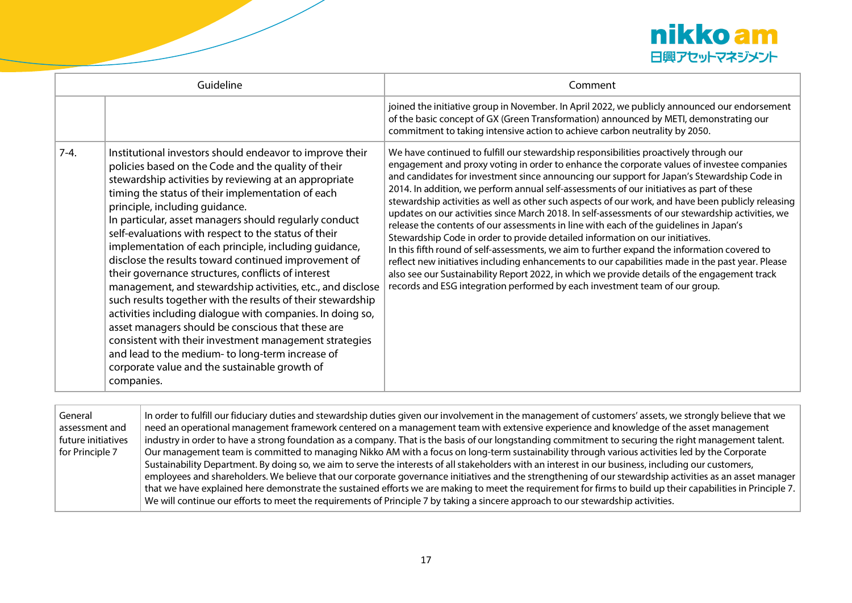

| Guideline |                                                                                                                                                                                                                                                                                                                                                                                                                                                                                                                                                                                                                                                                                                                                                                                                                                                                                                                                                                                      | Comment                                                                                                                                                                                                                                                                                                                                                                                                                                                                                                                                                                                                                                                                                                                                                                                                                                                                                                                                                                                                                                                                                                                                                 |
|-----------|--------------------------------------------------------------------------------------------------------------------------------------------------------------------------------------------------------------------------------------------------------------------------------------------------------------------------------------------------------------------------------------------------------------------------------------------------------------------------------------------------------------------------------------------------------------------------------------------------------------------------------------------------------------------------------------------------------------------------------------------------------------------------------------------------------------------------------------------------------------------------------------------------------------------------------------------------------------------------------------|---------------------------------------------------------------------------------------------------------------------------------------------------------------------------------------------------------------------------------------------------------------------------------------------------------------------------------------------------------------------------------------------------------------------------------------------------------------------------------------------------------------------------------------------------------------------------------------------------------------------------------------------------------------------------------------------------------------------------------------------------------------------------------------------------------------------------------------------------------------------------------------------------------------------------------------------------------------------------------------------------------------------------------------------------------------------------------------------------------------------------------------------------------|
|           |                                                                                                                                                                                                                                                                                                                                                                                                                                                                                                                                                                                                                                                                                                                                                                                                                                                                                                                                                                                      | joined the initiative group in November. In April 2022, we publicly announced our endorsement<br>of the basic concept of GX (Green Transformation) announced by METI, demonstrating our<br>commitment to taking intensive action to achieve carbon neutrality by 2050.                                                                                                                                                                                                                                                                                                                                                                                                                                                                                                                                                                                                                                                                                                                                                                                                                                                                                  |
| $7-4.$    | Institutional investors should endeavor to improve their<br>policies based on the Code and the quality of their<br>stewardship activities by reviewing at an appropriate<br>timing the status of their implementation of each<br>principle, including quidance.<br>In particular, asset managers should regularly conduct<br>self-evaluations with respect to the status of their<br>implementation of each principle, including guidance,<br>disclose the results toward continued improvement of<br>their governance structures, conflicts of interest<br>management, and stewardship activities, etc., and disclose<br>such results together with the results of their stewardship<br>activities including dialogue with companies. In doing so,<br>asset managers should be conscious that these are<br>consistent with their investment management strategies<br>and lead to the medium-to long-term increase of<br>corporate value and the sustainable growth of<br>companies. | We have continued to fulfill our stewardship responsibilities proactively through our<br>engagement and proxy voting in order to enhance the corporate values of investee companies<br>and candidates for investment since announcing our support for Japan's Stewardship Code in<br>2014. In addition, we perform annual self-assessments of our initiatives as part of these<br>stewardship activities as well as other such aspects of our work, and have been publicly releasing<br>updates on our activities since March 2018. In self-assessments of our stewardship activities, we<br>release the contents of our assessments in line with each of the quidelines in Japan's<br>Stewardship Code in order to provide detailed information on our initiatives.<br>In this fifth round of self-assessments, we aim to further expand the information covered to<br>reflect new initiatives including enhancements to our capabilities made in the past year. Please<br>also see our Sustainability Report 2022, in which we provide details of the engagement track<br>records and ESG integration performed by each investment team of our group. |

| General<br>assessment and<br>future initiatives<br>for Principle 7 | In order to fulfill our fiduciary duties and stewardship duties given our involvement in the management of customers' assets, we strongly believe that we<br>need an operational management framework centered on a management team with extensive experience and knowledge of the asset management<br>industry in order to have a strong foundation as a company. That is the basis of our longstanding commitment to securing the right management talent.<br>Our management team is committed to managing Nikko AM with a focus on long-term sustainability through various activities led by the Corporate<br>Sustainability Department. By doing so, we aim to serve the interests of all stakeholders with an interest in our business, including our customers,<br>employees and shareholders. We believe that our corporate governance initiatives and the strengthening of our stewardship activities as an asset manager<br>that we have explained here demonstrate the sustained efforts we are making to meet the requirement for firms to build up their capabilities in Principle 7. |
|--------------------------------------------------------------------|----------------------------------------------------------------------------------------------------------------------------------------------------------------------------------------------------------------------------------------------------------------------------------------------------------------------------------------------------------------------------------------------------------------------------------------------------------------------------------------------------------------------------------------------------------------------------------------------------------------------------------------------------------------------------------------------------------------------------------------------------------------------------------------------------------------------------------------------------------------------------------------------------------------------------------------------------------------------------------------------------------------------------------------------------------------------------------------------------|
|                                                                    | We will continue our efforts to meet the requirements of Principle 7 by taking a sincere approach to our stewardship activities.                                                                                                                                                                                                                                                                                                                                                                                                                                                                                                                                                                                                                                                                                                                                                                                                                                                                                                                                                                   |